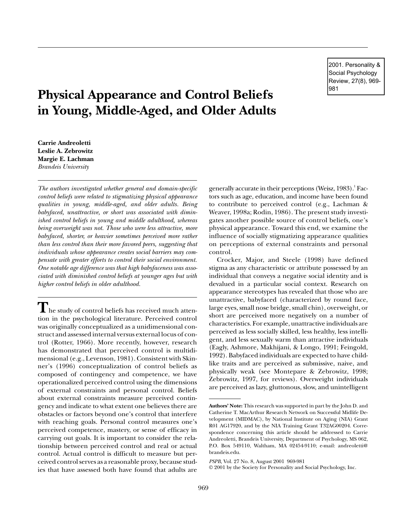2001. Personality & Social Psychology Review, 27(8), 969- 981

# **Physical Appearance and Control Beliefs in Young, Middle-Aged, and Older Adults**

**Carrie Andreoletti Leslie A. Zebrowitz Margie E. Lachman** *Brandeis University*

*The authors investigated whether general and domain-specific control beliefs were related to stigmatizing physical appearance qualities in young, middle-aged, and older adults. Being babyfaced, unattractive, or short was associated with diminished control beliefs in young and middle adulthood, whereas being overweight was not. Those who were less attractive, more babyfaced, shorter, or heavier sometimes perceived more rather than less control than their more favored peers, suggesting that individuals whose appearance creates social barriers may compensate with greater efforts to control their social environment. One notable age difference was that high babyfaceness was associated with diminished control beliefs at younger ages but with higher control beliefs in older adulthood.*

The study of control beliefs has received much attention in the psychological literature. Perceived control was originally conceptualized as a unidimensional construct and assessed internal versus external locus of control (Rotter, 1966). More recently, however, research has demonstrated that perceived control is multidimensional (e.g., Levenson, 1981). Consistent with Skinner's (1996) conceptualization of control beliefs as composed of contingency and competence, we have operationalized perceived control using the dimensions of external constraints and personal control. Beliefs about external constraints measure perceived contingency and indicate to what extent one believes there are obstacles or factors beyond one's control that interfere with reaching goals. Personal control measures one's perceived competence, mastery, or sense of efficacy in carrying out goals. It is important to consider the relationship between perceived control and real or actual control. Actual control is difficult to measure but perceived control serves as a reasonable proxy, because studies that have assessed both have found that adults are generally accurate in their perceptions (Weisz,  $1983$ ).<sup>1</sup> Factors such as age, education, and income have been found to contribute to perceived control (e.g., Lachman & Weaver, 1998a; Rodin, 1986). The present study investigates another possible source of control beliefs, one's physical appearance. Toward this end, we examine the influence of socially stigmatizing appearance qualities on perceptions of external constraints and personal control.

Crocker, Major, and Steele (1998) have defined stigma as any characteristic or attribute possessed by an individual that conveys a negative social identity and is devalued in a particular social context. Research on appearance stereotypes has revealed that those who are unattractive, babyfaced (characterized by round face, large eyes, small nose bridge, small chin), overweight, or short are perceived more negatively on a number of characteristics. For example, unattractive individuals are perceived as less socially skilled, less healthy, less intelligent, and less sexually warm than attractive individuals (Eagly, Ashmore, Makhijani, & Longo, 1991; Feingold, 1992). Babyfaced individuals are expected to have childlike traits and are perceived as submissive, naive, and physically weak (see Montepare & Zebrowitz, 1998; Zebrowitz, 1997, for reviews). Overweight individuals are perceived as lazy, gluttonous, slow, and unintelligent

**Authors' Note:** This research was supported in part by the John D. and Catherine T. MacArthur Research Network on Successful Midlife Development (MIDMAC), by National Institute on Aging (NIA) Grant R01 AG17920, and by the NIA Training Grant T32AG00204. Correspondence concerning this article should be addressed to Carrie Andreoletti, Brandeis University, Department of Psychology, MS 062, P.O. Box 549110, Waltham, MA 02454-9110; e-mail: andreoletti@ brandeis.edu.

*PSPB,* Vol. 27 No. 8, August 2001 969-981

<sup>© 2001</sup> by the Society for Personality and Social Psychology, Inc.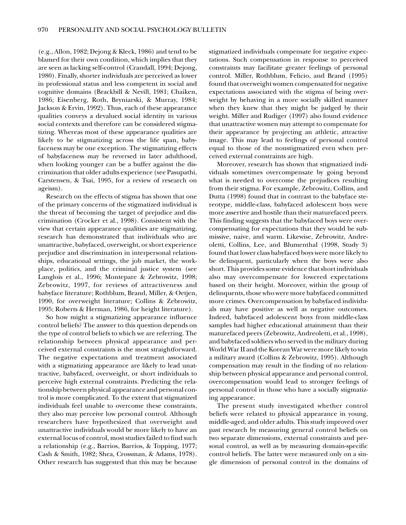(e.g., Allon, 1982; Dejong & Kleck, 1986) and tend to be blamed for their own condition, which implies that they are seen as lacking self-control (Crandall, 1994; Dejong, 1980). Finally, shorter individuals are perceived as lower in professional status and less competent in social and cognitive domains (Brackbill & Nevill, 1981; Chaiken, 1986; Eisenberg, Roth, Bryniarski, & Murray, 1984; Jackson & Ervin, 1992). Thus, each of these appearance qualities conveys a devalued social identity in various social contexts and therefore can be considered stigmatizing. Whereas most of these appearance qualities are likely to be stigmatizing across the life span, babyfaceness may be one exception. The stigmatizing effects of babyfaceness may be reversed in later adulthood, when looking younger can be a buffer against the discrimination that older adults experience (see Pasupathi, Carstensen, & Tsai, 1995, for a review of research on ageism).

Research on the effects of stigma has shown that one of the primary concerns of the stigmatized individual is the threat of becoming the target of prejudice and discrimination (Crocker et al., 1998). Consistent with the view that certain appearance qualities are stigmatizing, research has demonstrated that individuals who are unattractive, babyfaced, overweight, or short experience prejudice and discrimination in interpersonal relationships, educational settings, the job market, the workplace, politics, and the criminal justice system (see Langlois et al., 1996; Montepare & Zebrowitz, 1998; Zebrowitz, 1997, for reviews of attractiveness and babyface literature; Rothblum, Brand, Miller, & Oetjen, 1990, for overweight literature; Collins & Zebrowitz, 1995; Roberts & Herman, 1986, for height literature).

So how might a stigmatizing appearance influence control beliefs? The answer to this question depends on the type of control beliefs to which we are referring. The relationship between physical appearance and perceived external constraints is the most straightforward. The negative expectations and treatment associated with a stigmatizing appearance are likely to lead unattractive, babyfaced, overweight, or short individuals to perceive high external constraints. Predicting the relationship between physical appearance and personal control is more complicated. To the extent that stigmatized individuals feel unable to overcome these constraints, they also may perceive low personal control. Although researchers have hypothesized that overweight and unattractive individuals would be more likely to have an external locus of control, most studies failed to find such a relationship (e.g., Barrios, Barrios, & Topping, 1977; Cash & Smith, 1982; Shea, Crossman, & Adams, 1978). Other research has suggested that this may be because stigmatized individuals compensate for negative expectations. Such compensation in response to perceived constraints may facilitate greater feelings of personal control. Miller, Rothblum, Felicio, and Brand (1995) found that overweight women compensated for negative expectations associated with the stigma of being overweight by behaving in a more socially skilled manner when they knew that they might be judged by their weight. Miller and Rudiger (1997) also found evidence that unattractive women may attempt to compensate for their appearance by projecting an athletic, attractive image. This may lead to feelings of personal control equal to those of the nonstigmatized even when perceived external constraints are high.

Moreover, research has shown that stigmatized individuals sometimes overcompensate by going beyond what is needed to overcome the prejudices resulting from their stigma. For example, Zebrowitz, Collins, and Dutta (1998) found that in contrast to the babyface stereotype, middle-class, babyfaced adolescent boys were more assertive and hostile than their maturefaced peers. This finding suggests that the babyfaced boys were overcompensating for expectations that they would be submissive, naive, and warm. Likewise, Zebrowitz, Andreoletti, Collins, Lee, and Blumenthal (1998, Study 3) found that lower class babyfaced boys were more likely to be delinquent, particularly when the boys were also short. This provides some evidence that short individuals also may overcompensate for lowered expectations based on their height. Moreover, within the group of delinquents, those who were more babyfaced committed more crimes. Overcompensation by babyfaced individuals may have positive as well as negative outcomes. Indeed, babyfaced adolescent boys from middle-class samples had higher educational attainment than their maturefaced peers (Zebrowitz, Andreoletti, et al., 1998), and babyfaced soldiers who served in the military during World War II and the Korean War were more likely to win a military award (Collins & Zebrowitz, 1995). Although compensation may result in the finding of no relationship between physical appearance and personal control, overcompensation would lead to stronger feelings of personal control in those who have a socially stigmatizing appearance.

The present study investigated whether control beliefs were related to physical appearance in young, middle-aged, and older adults. This study improved over past research by measuring general control beliefs on two separate dimensions, external constraints and personal control, as well as by measuring domain-specific control beliefs. The latter were measured only on a single dimension of personal control in the domains of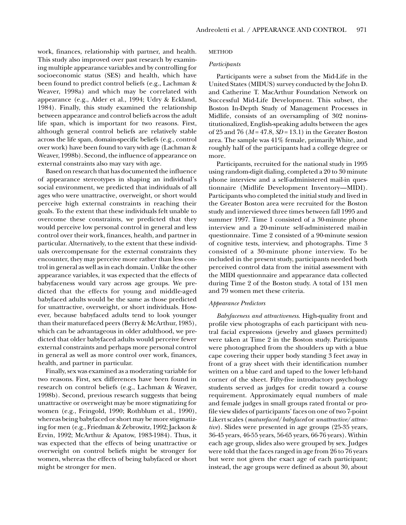work, finances, relationship with partner, and health. This study also improved over past research by examining multiple appearance variables and by controlling for socioeconomic status (SES) and health, which have been found to predict control beliefs (e.g., Lachman & Weaver, 1998a) and which may be correlated with appearance (e.g., Alder et al., 1994; Udry & Eckland, 1984). Finally, this study examined the relationship between appearance and control beliefs across the adult life span, which is important for two reasons. First, although general control beliefs are relatively stable across the life span, domain-specific beliefs (e.g., control over work) have been found to vary with age (Lachman & Weaver, 1998b). Second, the influence of appearance on external constraints also may vary with age.

Based on research that has documented the influence of appearance stereotypes in shaping an individual's social environment, we predicted that individuals of all ages who were unattractive, overweight, or short would perceive high external constraints in reaching their goals. To the extent that these individuals felt unable to overcome these constraints, we predicted that they would perceive low personal control in general and less control over their work, finances, health, and partner in particular. Alternatively, to the extent that these individuals overcompensate for the external constraints they encounter, they may perceive more rather than less control in general as well as in each domain. Unlike the other appearance variables, it was expected that the effects of babyfaceness would vary across age groups. We predicted that the effects for young and middle-aged babyfaced adults would be the same as those predicted for unattractive, overweight, or short individuals. However, because babyfaced adults tend to look younger than their maturefaced peers (Berry & McArthur, 1985), which can be advantageous in older adulthood, we predicted that older babyfaced adults would perceive fewer external constraints and perhaps more personal control in general as well as more control over work, finances, health, and partner in particular.

Finally, sex was examined as a moderating variable for two reasons. First, sex differences have been found in research on control beliefs (e.g., Lachman & Weaver, 1998b). Second, previous research suggests that being unattractive or overweight may be more stigmatizing for women (e.g., Feingold, 1990; Rothblum et al., 1990), whereas being babyfaced or short may be more stigmatizing for men (e.g., Friedman & Zebrowitz, 1992; Jackson & Ervin, 1992; McArthur & Apatow, 1983-1984). Thus, it was expected that the effects of being unattractive or overweight on control beliefs might be stronger for women, whereas the effects of being babyfaced or short might be stronger for men.

# METHOD

# *Participants*

Participants were a subset from the Mid-Life in the United States (MIDUS) survey conducted by the John D. and Catherine T. MacArthur Foundation Network on Successful Mid-Life Development. This subset, the Boston In-Depth Study of Management Processes in Midlife, consists of an oversampling of 302 noninstitutionalized, English-speaking adults between the ages of 25 and 76 (*M* = 47.8, *SD* = 13.1) in the Greater Boston area. The sample was 41% female, primarily White, and roughly half of the participants had a college degree or more.

Participants, recruited for the national study in 1995 using random-digit dialing, completed a 20 to 30 minute phone interview and a self-administered mail-in questionnaire (Midlife Development Inventory—MIDI). Participants who completed the initial study and lived in the Greater Boston area were recruited for the Boston study and interviewed three times between fall 1995 and summer 1997. Time 1 consisted of a 30-minute phone interview and a 20-minute self-administered mail-in questionnaire. Time 2 consisted of a 90-minute session of cognitive tests, interview, and photographs. Time 3 consisted of a 30-minute phone interview. To be included in the present study, participants needed both perceived control data from the initial assessment with the MIDI questionnaire and appearance data collected during Time 2 of the Boston study. A total of 131 men and 79 women met these criteria.

# *Appearance Predictors*

*Babyfaceness and attractiveness*. High-quality front and profile view photographs of each participant with neutral facial expressions (jewelry and glasses permitted) were taken at Time 2 in the Boston study. Participants were photographed from the shoulders up with a blue cape covering their upper body standing 3 feet away in front of a gray sheet with their identification number written on a blue card and taped to the lower left-hand corner of the sheet. Fifty-five introductory psychology students served as judges for credit toward a course requirement. Approximately equal numbers of male and female judges in small groups rated frontal or profile view slides of participants' faces on one of two 7-point Likert scales (*maturefaced*/*babyfaced* or *unattractive*/*attractive*). Slides were presented in age groups (25-35 years, 36-45 years, 46-55 years, 56-65 years, 66-76 years). Within each age group, slides also were grouped by sex. Judges were told that the faces ranged in age from 26 to 76 years but were not given the exact age of each participant; instead, the age groups were defined as about 30, about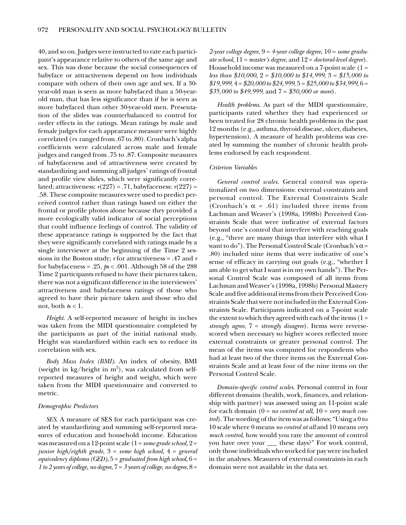40, and so on. Judges were instructed to rate each participant's appearance relative to others of the same age and sex. This was done because the social consequences of babyface or attractiveness depend on how individuals compare with others of their own age and sex. If a 30 year-old man is seen as more babyfaced than a 50-yearold man, that has less significance than if he is seen as more babyfaced than other 30-year-old men. Presentation of the slides was counterbalanced to control for order effects in the ratings. Mean ratings by male and female judges for each appearance measure were highly correlated (*r*s ranged from .67 to .80). Cronbach's alpha coefficients were calculated across male and female judges and ranged from .75 to .87. Composite measures of babyfaceness and of attractiveness were created by standardizing and summing all judges' ratings of frontal and profile view slides, which were significantly correlated; attractiveness:  $r(227) = .71$ , babyfaceness:  $r(227) =$ .58. These composite measures were used to predict perceived control rather than ratings based on either the frontal or profile photos alone because they provided a more ecologically valid indicator of social perceptions that could influence feelings of control. The validity of these appearance ratings is supported by the fact that they were significantly correlated with ratings made by a single interviewer at the beginning of the Time 2 sessions in the Boston study; *r* for attractiveness = .47 and *r* for babyfaceness = .25, *p*s < .001. Although 58 of the 288 Time 2 participants refused to have their pictures taken, there was not a significant difference in the interviewers' attractiveness and babyfaceness ratings of those who agreed to have their picture taken and those who did not, both *.* 

*Height*. A self-reported measure of height in inches was taken from the MIDI questionnaire completed by the participants as part of the initial national study. Height was standardized within each sex to reduce its correlation with sex.

*Body Mass Index (BMI)*. An index of obesity, BMI (weight in  $\text{kg/height}$  in  $\text{m}^2$ ), was calculated from selfreported measures of height and weight, which were taken from the MIDI questionnaire and converted to metric.

#### *Demographic Predictors*

*SES*. A measure of SES for each participant was created by standardizing and summing self-reported measures of education and household income. Education was measured on a 12-point scale (1 = *some grade school*,2= *junior high/eighth grade*,3= *some high school*,4= *general equivalency diploma (GED)*,5= *graduated from high school*,6= *1 to 2 years of college, no degree*,7= *3 years of college, no degree*,8=

*2-year college degree*,9= *4-year college degree*, 10 = *some graduate school*, 11 = *master's degree*, and 12 = *doctoral-level degree*). Household income was measured on a  $7$ -point scale (1 = *less than \$10,000*,2= *\$10,000 to \$14,999*,3= *\$15,000 to \$19,999*,4= *\$20,000 to \$24,999*,5= *\$25,000 to \$34,999*,6= *\$35,000 to \$49,999*, and 7 = *\$50,000 or more*).

*Health problems*. As part of the MIDI questionnaire, participants rated whether they had experienced or been treated for 28 chronic health problems in the past 12 months (e.g., asthma, thyroid disease, ulcer, diabetes, hypertension). A measure of health problems was created by summing the number of chronic health problems endorsed by each respondent.

#### *Criterion Variables*

*General control scales*. General control was operationalized on two dimensions: external constraints and personal control. The External Constraints Scale (Cronbach's  $\alpha = .61$ ) included three items from Lachman and Weaver's (1998a, 1998b) Perceived Constraints Scale that were indicative of external factors beyond one's control that interfere with reaching goals (e.g., "there are many things that interfere with what I want to do"). The Personal Control Scale (Cronbach's  $\alpha$  = .80) included nine items that were indicative of one's sense of efficacy in carrying out goals (e.g., "whether I am able to get what I want is in my own hands"). The Personal Control Scale was composed of all items from Lachman and Weaver's (1998a, 1998b) Personal Mastery Scale and five additional items from their Perceived Constraints Scale that were not included in the External Constraints Scale. Participants indicated on a 7-point scale the extent to which they agreed with each of the items  $(1 =$ *strongly agree*,7= *strongly disagree*). Items were reversescored when necessary so higher scores reflected more external constraints or greater personal control. The mean of the items was computed for respondents who had at least two of the three items on the External Constraints Scale and at least four of the nine items on the Personal Control Scale.

*Domain-specific control scales*. Personal control in four different domains (health, work, finances, and relationship with partner) was assessed using an 11-point scale for each domain (0 = *no control at all*, 10 = *very much control*). The wording of the item was as follows: "Using a 0 to 10 scale where 0 means *no control at all* and 10 means *very much control*, how would you rate the amount of control you have over your \_\_\_\_ these days?" For work control, only those individuals who worked for pay were included in the analyses. Measures of external constraints in each domain were not available in the data set.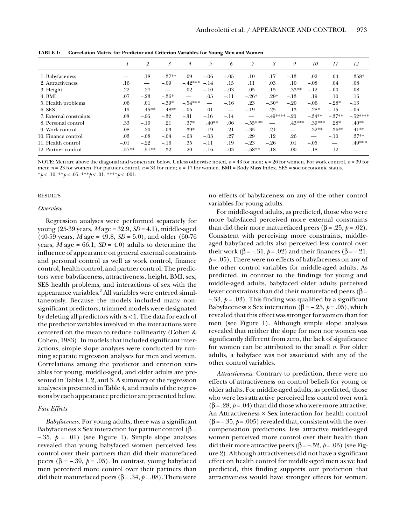|                         |          | 2        | $\overline{\mathbf{3}}$ | $\overline{4}$ | 5       | 6      | 7                        | 8           | 9        | 10       | 11       | 12        |
|-------------------------|----------|----------|-------------------------|----------------|---------|--------|--------------------------|-------------|----------|----------|----------|-----------|
| 1. Babyfaceness         |          | .18      | $-.37**$                | .09            | $-.06$  | $-.05$ | .10                      | .17         | $-.13$   | .02      | .04      | $.358*$   |
| 2. Attractiveness       | .16      |          | $-.09$                  | $-42***$       | $-.14$  | .15    | .11                      | .03         | .10      | $-.08$   | .04      | .08       |
| 3. Height               | .22      | .27      |                         | .02            | $-.10$  | $-.03$ | .05                      | .15         | $.33**$  | $-.12$   | $-.00$   | .08       |
| 4. BMI                  | .07      | $-.23$   | $-.36*$                 |                | .05     | $-.11$ | $-.26*$                  | $.29*$      | $-.13$   | .19      | $.10\,$  | $.16\,$   |
| 5. Health problems      | .06      | .01      | $-.39*$                 | $-.54***$      |         | $-.16$ | .23                      | $-.30*$     | $-.20$   | $-.06$   | $-.28*$  | $-.13$    |
| 6. SES                  | .19      | $.45***$ | $.48**$                 | $-.05$         | .01     |        | $-.19$                   | .25         | .13      | $.28*$   | $-.15$   | $-.06$    |
| 7. External constraints | .08      | $-.06$   | $-.32$                  | $-.31$         | $-16$   | $-.14$ | $\overline{\phantom{m}}$ | $-49***-20$ |          | $-.34**$ | $-.37**$ | $-.52***$ |
| 8. Personal control     | .33      | $-.10$   | .21                     | $.37*$         | $.40**$ | .06    | $-.55***$                |             | $.43***$ | $.39***$ | $.28*$   | $.40**$   |
| 9. Work control         | .08      | .20      | $-.03$                  | $.39*$         | .19     | .21    | $-.35$                   | .21         |          | $.32**$  | $.36**$  | $.41**$   |
| 10. Finance control     | .03      | $-.08$   | $-.04$                  | $-.03$         | $-.03$  | .27    | .29                      | .12         | .26      |          | $-.10$   | $.37**$   |
| 11. Health control      | $-.01$   | $-.22$   | $-.16$                  | .35            | $-.11$  | .19    | $-.23$                   | $-.26$      | .01      | $-.05$   |          | .49***    |
| 12. Partner control     | $-.57**$ | $-.51**$ | .32                     | .20            | $-.16$  | $-.03$ | $-.58**$                 | .18         | $-.00$   | $-.18$   | .12      |           |

**TABLE 1: Correlation Matrix for Predictor and Criterion Variables for Young Men and Women**

NOTE: Men are above the diagonal and women are below. Unless otherwise noted,  $n = 43$  for men;  $n = 26$  for women. For work control,  $n = 39$  for men; *n* = 23 for women. For partner control, *n* = 34 for men; *n* = 17 for women. BMI = Body Mass Index, SES = socioeconomic status. \**p* < .10. \*\**p* < .05. \*\*\**p* < .01. \*\*\*\**p* < .001.

#### RESULTS

#### *Overview*

Regression analyses were performed separately for young (25-39 years, *M* age = 32.9, *SD* = 4.1), middle-aged (40-59 years, *M* age = 49.8, *SD* = 5.0), and older (60-76 years, *M* age = 66.1,  $SD = 4.0$ ) adults to determine the influence of appearance on general external constraints and personal control as well as work control, finance control, health control, and partner control. The predictors were babyfaceness, attractiveness, height, BMI, sex, SES health problems, and interactions of sex with the appearance variables.<sup>2</sup> All variables were entered simultaneously. Because the models included many nonsignificant predictors, trimmed models were designated by deleting all predictors with *t*s < 1. The data for each of the predictor variables involved in the interactions were centered on the mean to reduce collinearity (Cohen & Cohen, 1983). In models that included significant interactions, simple slope analyses were conducted by running separate regression analyses for men and women. Correlations among the predictor and criterion variables for young, middle-aged, and older adults are presented in Tables 1, 2, and 3. A summary of the regression analyses is presented in Table 4, and results of the regressions by each appearance predictor are presented below.

# *Face Effects*

*Babyfaceness*. For young adults, there was a significant Babyfaceness  $\times$  Sex interaction for partner control ( $\beta$  =  $-0.35$ ,  $p = 0.01$ ) (see Figure 1). Simple slope analyses revealed that young babyfaced women perceived less control over their partners than did their maturefaced peers (β = –.39, *p* = .05). In contrast, young babyfaced men perceived more control over their partners than did their maturefaced peers ( $β = .34, β = .08$ ). There were no effects of babyfaceness on any of the other control variables for young adults.

For middle-aged adults, as predicted, those who were more babyfaced perceived more external constraints than did their more maturefaced peers ( $β = .25, p = .02$ ). Consistent with perceiving more constraints, middleaged babyfaced adults also perceived less control over their work  $(\beta = -0.31, p = 0.02)$  and their finances  $(\beta = -0.21, p = 0.02)$ *p* = .05). There were no effects of babyfaceness on any of the other control variables for middle-aged adults. As predicted, in contrast to the findings for young and middle-aged adults, babyfaced older adults perceived fewer constraints than did their maturefaced peers (β =  $-0.33$ ,  $p = 0.03$ ). This finding was qualified by a significant Babyfaceness  $\times$  Sex interaction ( $\beta$  = -.25,  $p$  = .05), which revealed that this effect was stronger for women than for men (see Figure 1). Although simple slope analyses revealed that neither the slope for men nor women was significantly different from zero, the lack of significance for women can be attributed to the small *n*. For older adults, a babyface was not associated with any of the other control variables.

*Attractiveness*. Contrary to prediction, there were no effects of attractiveness on control beliefs for young or older adults. For middle-aged adults, as predicted, those who were less attractive perceived less control over work  $(\beta = .28, p = .04)$  than did those who were more attractive. An Attractiveness × Sex interaction for health control  $(\beta = -.35, p = .005)$  revealed that, consistent with the overcompensation predictions, less attractive middle-aged women perceived more control over their health than did their more attractive peers (β = –.52, *p* = .03) (see Figure 2). Although attractiveness did not have a significant effect on health control for middle-aged men as we had predicted, this finding supports our prediction that attractiveness would have stronger effects for women.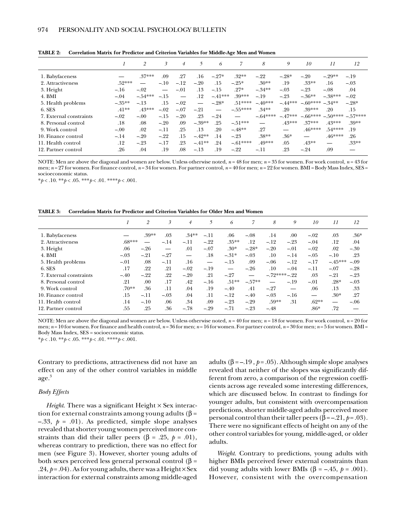|                         |          | 2         | $\overline{\mathbf{3}}$ | $\overline{4}$ | 5                        | 6         | 7         | 8         | 9         | 10              | 11                             | 12      |
|-------------------------|----------|-----------|-------------------------|----------------|--------------------------|-----------|-----------|-----------|-----------|-----------------|--------------------------------|---------|
| 1. Babyfaceness         |          | $.37***$  | .09                     | .27            | $.16\,$                  | $-.27*$   | $.32**$   | $-.22$    | $-.28*$   | $-.20$          | $-.29**$                       | $-.19$  |
| 2. Attractiveness       | $.52***$ |           | $-.10$                  | $-.12$         | $-.20$                   | .15       | $-.25*$   | $.30**$   | .19       | $.33**$         | .16                            | $-.03$  |
| 3. Height               | $-.16$   | $-.02$    |                         | $-.01$         | .13                      | $-.15$    | $.27*$    | $-.34**$  | $-.03$    | $-.23$          | $-.08$                         | .04     |
| 4. BMI                  | $-.04$   | $-.54***$ | $-.15$                  |                | .12                      | $-.41***$ | .39***    | $-.19$    | $-.23$    | $-.36**$        | $-.38***$                      | $-.02$  |
| 5. Health problems      | $-.35**$ | $-.13$    | .15                     | $-.02$         | $\overline{\phantom{m}}$ | $-.28*$   | $.51***$  | $-.40***$ | $-.44***$ | $-.60***-.34**$ |                                | $-.28*$ |
| 6. SES                  | $.41**$  | .43***    | $-.02$                  | $-.07$         | $-.21$                   |           | $-.55***$ | $.34***$  | .20       | .39***          | .20                            | .15     |
| 7. External constraints | $-.02$   | $-.00$    | $-.15$                  | $-.20$         | .23                      | $-.24$    |           | $-.64***$ | $-47***$  |                 | $-.66**** - .50**** - .57****$ |         |
| 8. Personal control     | .18      | .08       | $-.20$                  | .09            | $-.39**$                 | .25       | $-.51***$ |           | $.43***$  | $.37***$        | $.43***$                       | $.39**$ |
| 9. Work control         | $-.00$   | .02       | $-.11$                  | .25            | .13                      | .20       | $-.48**$  | .27       |           | $.46****$       | $.54***$                       | .19     |
| 10. Finance control     | $-.14$   | $-.20$    | $-.22$                  | .15            | $-.42**$                 | .14       | $-.23$    | $.38**$   | $.36*$    |                 | $.46***$                       | .26     |
| 11. Health control      | .12      | $-.23$    | $-.17$                  | .23            | $-.41**$                 | .24       | $-.61***$ | $.49***$  | .05       | $.43**$         | $\overline{\phantom{0}}$       | $.33**$ |
| 12. Partner control     | .26      | .04       | .19                     | .08            | $-.13$                   | .19       | $-.22$    | $-.11$    | .23       | $-.24$          | .09                            |         |

**TABLE 2: Correlation Matrix for Predictor and Criterion Variables for Middle-Age Men and Women**

NOTE: Men are above the diagonal and women are below. Unless otherwise noted, *n* = 48 for men; *n* = 35 for women. For work control, *n* = 43 for men; *n* = 27 for women. For finance control, *n* = 34 for women. For partner control, *n* = 40 for men; *n* = 22 for women. BMI = Body Mass Index, SES = socioeconomic status.

\**p* < .10. \*\**p* < .05. \*\*\**p* < .01. \*\*\*\**p* < .001.

|  |  |  | TABLE 3: Correlation Matrix for Predictor and Criterion Variables for Older Men and Women |  |  |
|--|--|--|-------------------------------------------------------------------------------------------|--|--|
|--|--|--|-------------------------------------------------------------------------------------------|--|--|

|                         |          | 2       | $\overline{\mathbf{3}}$ | 4                        | 5      | 6        |          | 8             | 9      | 10      | 11        | 12     |
|-------------------------|----------|---------|-------------------------|--------------------------|--------|----------|----------|---------------|--------|---------|-----------|--------|
| 1. Babyfaceness         |          | $.39**$ | .03                     | $.34**$                  | $-.11$ | .06      | $-.08$   | .14           | .00    | $-.02$  | .03       | $.36*$ |
| 2. Attractiveness       | $.68***$ |         | $-.14$                  | $-.11$                   | $-.22$ | $.35***$ | .12      | $-.12$        | $-.23$ | $-.04$  | .12       | .04    |
| 3. Height               | .06      | $-.26$  |                         | .01                      | $-.07$ | $.30*$   | $-.28*$  | $-.20$        | $-.01$ | $-.02$  | .02       | $-.30$ |
| 4. BMI                  | $-.03$   | $-.21$  | $-.27$                  | $\overline{\phantom{0}}$ | .18    | $-.31*$  | $-.03$   | .10           | $-.14$ | $-.05$  | $-.10$    | .23    |
| 5. Health problems      | $-.01$   | .08     | $-.11$                  | .16                      |        | $-.15$   | .09      | $-.06$        | $-.12$ | $-.17$  | $-.45***$ | $-.09$ |
| 6. SES                  | .17      | .22     | .21                     | $-.02$                   | $-.19$ |          | $-.26$   | .10           | $-.04$ | $-.11$  | $-.07$    | $-.28$ |
| 7. External constraints | $-.40$   | $-.22$  | .22                     | $-.20$                   | .21    | $-.27$   |          | $-.72***-.22$ |        | .03     | $-.21$    | $-.23$ |
| 8. Personal control     | .21      | .00.    | .17                     | .42                      | $-.16$ | $.51**$  | $-.57**$ |               | $-.19$ | $-.01$  | .28*      | $-.03$ |
| 9. Work control         | $.70**$  | .36     | .11                     | .04                      | .19    | $-.40$   | .41      | $-.27$        |        | .06     | .13       | .33    |
| 10. Finance control     | .15      | $-.11$  | $-.03$                  | .04                      | .11    | $-.12$   | $-.40$   | $-.03$        | $-.16$ |         | $.30*$    | .27    |
| 11. Health control      | .14      | $-.10$  | .06                     | .34                      | .09    | $-.23$   | $-.29$   | $.59**$       | .31    | $.62**$ |           | $-.06$ |
| 12. Partner control     | .55      | .25     | .36                     | $-.78$                   | $-.29$ | $-.71$   | $-.23$   | $-.48$        |        | .86*    | .72       |        |

NOTE: Men are above the diagonal and women are below. Unless otherwise noted,  $n = 40$  for men;  $n = 18$  for women. For work control,  $n = 20$  for men;  $n=10$  for women. For finance and health control,  $n=36$  for men;  $n=16$  for women. For partner control,  $n=30$  for men;  $n=5$  for women. BMI = Body Mass Index, SES = socioeconomic status.

\**p* < .10. \*\**p* < .05. \*\*\**p* < .01. \*\*\*\**p* < .001.

Contrary to predictions, attractiveness did not have an effect on any of the other control variables in middle age.<sup>3</sup>

#### *Body Effects*

*Height*. There was a significant Height  $\times$  Sex interaction for external constraints among young adults ( $\beta$  =  $-.33, p = .01$ ). As predicted, simple slope analyses revealed that shorter young women perceived more constraints than did their taller peers ( $\beta$  = .25,  $p$  = .01), whereas contrary to prediction, there was no effect for men (see Figure 3). However, shorter young adults of both sexes perceived less general personal control (β = .24,  $p = .04$ ). As for young adults, there was a Height  $\times$  Sex interaction for external constraints among middle-aged

adults ( $\beta$  = -.19,  $\beta$  = .05). Although simple slope analyses revealed that neither of the slopes was significantly different from zero, a comparison of the regression coefficients across age revealed some interesting differences, which are discussed below. In contrast to findings for younger adults, but consistent with overcompensation predictions, shorter middle-aged adults perceived more personal control than their taller peers (β = –.21,  $p = .03$ ). There were no significant effects of height on any of the other control variables for young, middle-aged, or older adults.

*Weight*. Contrary to predictions, young adults with higher BMIs perceived fewer external constraints than did young adults with lower BMIs ( $β = -.45, p = .001$ ). However, consistent with the overcompensation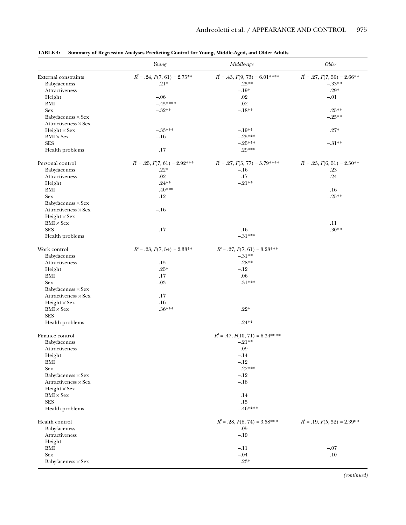|                                | Young                           | Middle-Age                        | Older                           |
|--------------------------------|---------------------------------|-----------------------------------|---------------------------------|
| <b>External constraints</b>    | $R^2 = .24, F(7, 61) = 2.75**$  | $R^2 = .43, F(9, 73) = 6.01***$   | $R^2 = .27, F(7, 50) = 2.66**$  |
| Babyfaceness                   | $.21*$                          | $.25***$                          | $-.33**$                        |
| Attractiveness                 |                                 | $-.19*$                           | $.29*$                          |
| Height                         | $-.06$                          | .02                               | $-.01$                          |
| $\operatorname{BMI}$           | $-.45***$                       | .02                               |                                 |
| <b>Sex</b>                     | $-.32**$                        | $-.18**$                          | $.25**$                         |
| Babyfaceness $\times$ Sex      |                                 |                                   | $-.25**$                        |
| Attractiveness $\times$ Sex    |                                 |                                   |                                 |
| $Height \times Sex$            | $-.33***$                       | $-.19**$                          | $.27*$                          |
| $\text{BMI} \times \text{Sex}$ | $-.16$                          | $-.25***$                         |                                 |
| <b>SES</b>                     |                                 | $-.25***$                         | $-.31**$                        |
|                                |                                 | $.29***$                          |                                 |
| Health problems                | .17                             |                                   |                                 |
| Personal control               | $R^2 = .25, F(7, 61) = 2.92***$ | $R^2 = .27, F(5, 77) = 5.79$ **** | $R^2 = .23, F(6, 51) = 2.50**$  |
| Babyfaceness                   | $.22*$                          | $-.16$                            | .23                             |
| Attractiveness                 | $-.02$                          | .17                               | $-.24$                          |
| Height                         | $.24***$                        | $-.21**$                          |                                 |
| BMI                            | $.40***$                        |                                   | .16                             |
| Sex                            | .12                             |                                   | $-.25**$                        |
| Babyfaceness $\times$ Sex      |                                 |                                   |                                 |
| Attractiveness $\times$ Sex    | $-.16$                          |                                   |                                 |
| $Height \times Sex$            |                                 |                                   |                                 |
| $BMI \times Sex$               |                                 |                                   | .11                             |
|                                |                                 |                                   |                                 |
| <b>SES</b>                     | .17                             | .16                               | $.30**$                         |
| Health problems                |                                 | $-.31***$                         |                                 |
| Work control                   | $R^2 = .23, F(7, 54) = 2.33**$  | $R^2 = .27, F(7, 61) = 3.28***$   |                                 |
| Babyfaceness                   |                                 | $-.31**$                          |                                 |
| Attractiveness                 | .15                             | $.28**$                           |                                 |
| Height                         | $.25*$                          | $-.12$                            |                                 |
| BMI                            | .17                             | .06                               |                                 |
| Sex                            | $-.03$                          | $.31***$                          |                                 |
| Babyfaceness $\times$ Sex      |                                 |                                   |                                 |
| Attractiveness × Sex           | .17                             |                                   |                                 |
|                                | $-.16$                          |                                   |                                 |
| $Height \times Sex$            | $.36***$                        |                                   |                                 |
| $\text{BMI} \times \text{Sex}$ |                                 | $.22*$                            |                                 |
| <b>SES</b><br>Health problems  |                                 | $-.24**$                          |                                 |
|                                |                                 |                                   |                                 |
| Finance control                |                                 | $R^2 = .47, F(10, 71) = 6.34***$  |                                 |
| Babyfaceness                   |                                 | $-.21**$                          |                                 |
| Attractiveness                 |                                 | .09                               |                                 |
| Height                         |                                 | $-.14$                            |                                 |
| BMI                            |                                 | $-.12$                            |                                 |
| <b>Sex</b>                     |                                 | $.22***$                          |                                 |
| Babyfaceness $\times$ Sex      |                                 | $-.12$                            |                                 |
| Attractiveness $\times$ Sex    |                                 | $-.18$                            |                                 |
|                                |                                 |                                   |                                 |
| $Height \times Sex$            |                                 |                                   |                                 |
| $\text{BMI} \times \text{Sex}$ |                                 | .14                               |                                 |
| <b>SES</b>                     |                                 | .15                               |                                 |
| Health problems                |                                 | $-.46***$                         |                                 |
| Health control                 |                                 | $R^2 = .28, F(8, 74) = 3.58***$   | $R^2 = .19, F(5, 52) = 2.39$ ** |
| Babyfaceness                   |                                 | .05                               |                                 |
| Attractiveness                 |                                 | $-.19$                            |                                 |
| Height                         |                                 |                                   |                                 |
| BMI                            |                                 | $-.11$                            | $-.07$                          |
| Sex                            |                                 | $-.04$                            | $.10\,$                         |
|                                |                                 |                                   |                                 |

# **TABLE 4: Summary of Regression Analyses Predicting Control for Young, Middle-Aged, and Older Adults**

*(continued)*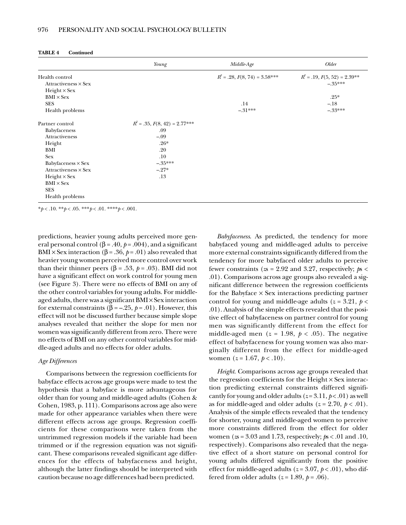|                           | Young                           | Middle-Age                      | Older                          |
|---------------------------|---------------------------------|---------------------------------|--------------------------------|
| Health control            |                                 | $R^2 = .28, F(8, 74) = 3.58***$ | $R^2 = .19, F(5, 52) = 2.39**$ |
| Attractiveness × Sex      |                                 |                                 | $-.35***$                      |
| $Height \times Sex$       |                                 |                                 |                                |
| $BMI \times Sex$          |                                 |                                 | $.25*$                         |
| <b>SES</b>                |                                 | .14                             | $-.18$                         |
| Health problems           |                                 | $-.31***$                       | $-.33***$                      |
| Partner control           | $R^2 = .35, F(8, 42) = 2.77***$ |                                 |                                |
| Babyfaceness              | .09                             |                                 |                                |
| Attractiveness            | $-.09$                          |                                 |                                |
| Height                    | $.26*$                          |                                 |                                |
| BMI                       | .20                             |                                 |                                |
| <b>Sex</b>                | $.10\,$                         |                                 |                                |
| Babyfaceness $\times$ Sex | $-.35***$                       |                                 |                                |
| Attractiveness × Sex      | $-.27*$                         |                                 |                                |
| $Height \times Sex$       | .13                             |                                 |                                |
| $BMI \times Sex$          |                                 |                                 |                                |
| <b>SES</b>                |                                 |                                 |                                |
| Health problems           |                                 |                                 |                                |

# **TABLE 4 Continued**

\**p* < .10. \*\**p* < .05. \*\*\**p* < .01. \*\*\*\**p* < .001.

predictions, heavier young adults perceived more general personal control ( $\beta$  = .40,  $p$  = .004), and a significant BMI × Sex interaction ( $β = .36, β = .01$ ) also revealed that heavier young women perceived more control over work than their thinner peers ( $β = .53, p = .03$ ). BMI did not have a significant effect on work control for young men (see Figure 3). There were no effects of BMI on any of the other control variables for young adults. For middleaged adults, there was a significant BMI × Sex interaction for external constraints (β = –.25, *p* = .01). However, this effect will not be discussed further because simple slope analyses revealed that neither the slope for men nor women was significantly different from zero. There were no effects of BMI on any other control variables for middle-aged adults and no effects for older adults.

#### *Age Differences*

Comparisons between the regression coefficients for babyface effects across age groups were made to test the hypothesis that a babyface is more advantageous for older than for young and middle-aged adults (Cohen & Cohen, 1983, p. 111). Comparisons across age also were made for other appearance variables when there were different effects across age groups. Regression coefficients for these comparisons were taken from the untrimmed regression models if the variable had been trimmed or if the regression equation was not significant. These comparisons revealed significant age differences for the effects of babyfaceness and height, although the latter findings should be interpreted with caution because no age differences had been predicted.

*Babyfaceness*. As predicted, the tendency for more babyfaced young and middle-aged adults to perceive more external constraints significantly differed from the tendency for more babyfaced older adults to perceive fewer constraints ( $z = 2.92$  and 3.27, respectively;  $p_s <$ .01). Comparisons across age groups also revealed a significant difference between the regression coefficients for the Babyface  $\times$  Sex interactions predicting partner control for young and middle-age adults ( $z = 3.21$ ,  $p <$ .01). Analysis of the simple effects revealed that the positive effect of babyfaceness on partner control for young men was significantly different from the effect for middle-aged men ( $z = 1.98$ ,  $p < .05$ ). The negative effect of babyfaceness for young women was also marginally different from the effect for middle-aged women (*z* = 1.67, *p* < .10).

*Height*. Comparisons across age groups revealed that the regression coefficients for the Height  $\times$  Sex interaction predicting external constraints differed significantly for young and older adults  $(z=3.11, p<0.01)$  as well as for middle-aged and older adults  $(z = 2.70, p < .01)$ . Analysis of the simple effects revealed that the tendency for shorter, young and middle-aged women to perceive more constraints differed from the effect for older women (*z*s = 3.03 and 1.73, respectively; *p*s < .01 and .10, respectively). Comparisons also revealed that the negative effect of a short stature on personal control for young adults differed significantly from the positive effect for middle-aged adults  $(z = 3.07, p < .01)$ , who differed from older adults  $(z = 1.89, p = .06)$ .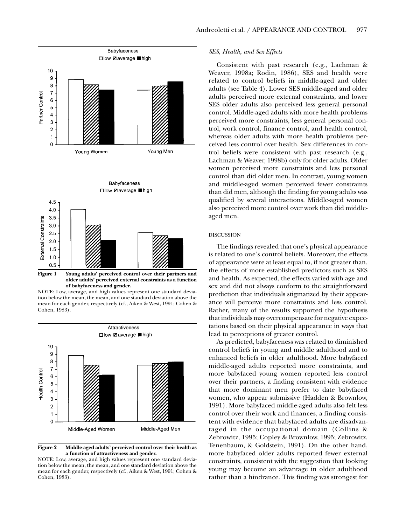

**Figure 1 Young adults' perceived control over their partners and older adults' perceived external constraints as a function of babyfaceness and gender.**

NOTE: Low, average, and high values represent one standard deviation below the mean, the mean, and one standard deviation above the mean for each gender, respectively (cf., Aiken & West, 1991; Cohen & Cohen, 1983).



**Figure 2 Middle-aged adults' perceived control over their health as a function of attractiveness and gender.**

NOTE: Low, average, and high values represent one standard deviation below the mean, the mean, and one standard deviation above the mean for each gender, respectively (cf., Aiken & West, 1991; Cohen & Cohen, 1983).

# *SES, Health, and Sex Effects*

Consistent with past research (e.g., Lachman & Weaver, 1998a; Rodin, 1986), SES and health were related to control beliefs in middle-aged and older adults (see Table 4). Lower SES middle-aged and older adults perceived more external constraints, and lower SES older adults also perceived less general personal control. Middle-aged adults with more health problems perceived more constraints, less general personal control, work control, finance control, and health control, whereas older adults with more health problems perceived less control over health. Sex differences in control beliefs were consistent with past research (e.g., Lachman & Weaver, 1998b) only for older adults. Older women perceived more constraints and less personal control than did older men. In contrast, young women and middle-aged women perceived fewer constraints than did men, although the finding for young adults was qualified by several interactions. Middle-aged women also perceived more control over work than did middleaged men.

#### DISCUSSION

The findings revealed that one's physical appearance is related to one's control beliefs. Moreover, the effects of appearance were at least equal to, if not greater than, the effects of more established predictors such as SES and health. As expected, the effects varied with age and sex and did not always conform to the straightforward prediction that individuals stigmatized by their appearance will perceive more constraints and less control. Rather, many of the results supported the hypothesis that individuals may overcompensate for negative expectations based on their physical appearance in ways that lead to perceptions of greater control.

As predicted, babyfaceness was related to diminished control beliefs in young and middle adulthood and to enhanced beliefs in older adulthood. More babyfaced middle-aged adults reported more constraints, and more babyfaced young women reported less control over their partners, a finding consistent with evidence that more dominant men prefer to date babyfaced women, who appear submissive (Hadden & Brownlow, 1991). More babyfaced middle-aged adults also felt less control over their work and finances, a finding consistent with evidence that babyfaced adults are disadvantaged in the occupational domain (Collins & Zebrowitz, 1995; Copley & Brownlow, 1995; Zebrowitz, Tenenbaum, & Goldstein, 1991). On the other hand, more babyfaced older adults reported fewer external constraints, consistent with the suggestion that looking young may become an advantage in older adulthood rather than a hindrance. This finding was strongest for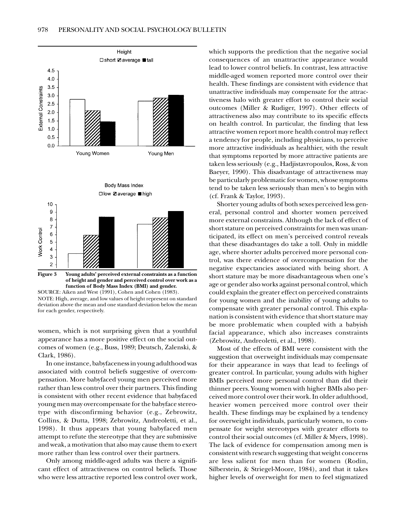

**function of Body Mass Index (BMI) and gender.** SOURCE: Aiken and West (1991), Cohen and Cohen (1983). NOTE: High, average, and low values of height represent on standard deviation above the mean and one standard deviation below the mean

for each gender, respectively.

women, which is not surprising given that a youthful appearance has a more positive effect on the social outcomes of women (e.g., Buss, 1989; Deutsch, Zalenski, & Clark, 1986).

In one instance, babyfaceness in young adulthood was associated with control beliefs suggestive of overcompensation. More babyfaced young men perceived more rather than less control over their partners. This finding is consistent with other recent evidence that babyfaced young men may overcompensate for the babyface stereotype with disconfirming behavior (e.g., Zebrowitz, Collins, & Dutta, 1998; Zebrowitz, Andreoletti, et al., 1998). It thus appears that young babyfaced men attempt to refute the stereotype that they are submissive and weak, a motivation that also may cause them to exert more rather than less control over their partners.

Only among middle-aged adults was there a significant effect of attractiveness on control beliefs. Those who were less attractive reported less control over work,

which supports the prediction that the negative social consequences of an unattractive appearance would lead to lower control beliefs. In contrast, less attractive middle-aged women reported more control over their health. These findings are consistent with evidence that unattractive individuals may compensate for the attractiveness halo with greater effort to control their social outcomes (Miller & Rudiger, 1997). Other effects of attractiveness also may contribute to its specific effects on health control. In particular, the finding that less attractive women report more health control may reflect a tendency for people, including physicians, to perceive more attractive individuals as healthier, with the result that symptoms reported by more attractive patients are taken less seriously (e.g., Hadjistavropoulos, Ross, & von Baeyer, 1990). This disadvantage of attractiveness may be particularly problematic for women, whose symptoms tend to be taken less seriously than men's to begin with (cf. Frank & Taylor, 1993).

Shorter young adults of both sexes perceived less general, personal control and shorter women perceived more external constraints. Although the lack of effect of short stature on perceived constraints for men was unanticipated, its effect on men's perceived control reveals that these disadvantages do take a toll. Only in middle age, where shorter adults perceived more personal control, was there evidence of overcompensation for the negative expectancies associated with being short. A short stature may be more disadvantageous when one's age or gender also works against personal control, which could explain the greater effect on perceived constraints for young women and the inability of young adults to compensate with greater personal control. This explanation is consistent with evidence that short stature may be more problematic when coupled with a babyish facial appearance, which also increases constraints (Zebrowitz, Andreoletti, et al., 1998).

Most of the effects of BMI were consistent with the suggestion that overweight individuals may compensate for their appearance in ways that lead to feelings of greater control. In particular, young adults with higher BMIs perceived more personal control than did their thinner peers. Young women with higher BMIs also perceived more control over their work. In older adulthood, heavier women perceived more control over their health. These findings may be explained by a tendency for overweight individuals, particularly women, to compensate for weight stereotypes with greater efforts to control their social outcomes (cf. Miller & Myers, 1998). The lack of evidence for compensation among men is consistent with research suggesting that weight concerns are less salient for men than for women (Rodin, Silberstein, & Striegel-Moore, 1984), and that it takes higher levels of overweight for men to feel stigmatized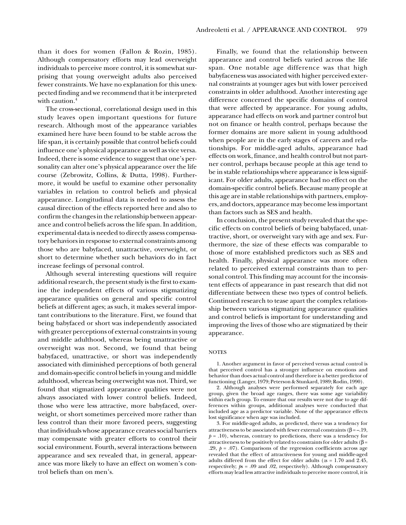than it does for women (Fallon & Rozin, 1985). Although compensatory efforts may lead overweight individuals to perceive more control, it is somewhat surprising that young overweight adults also perceived fewer constraints. We have no explanation for this unexpected finding and we recommend that it be interpreted with caution.<sup>4</sup>

The cross-sectional, correlational design used in this study leaves open important questions for future research. Although most of the appearance variables examined here have been found to be stable across the life span, it is certainly possible that control beliefs could influence one's physical appearance as well as vice versa. Indeed, there is some evidence to suggest that one's personality can alter one's physical appearance over the life course (Zebrowitz, Collins, & Dutta, 1998). Furthermore, it would be useful to examine other personality variables in relation to control beliefs and physical appearance. Longitudinal data is needed to assess the causal direction of the effects reported here and also to confirm the changes in the relationship between appearance and control beliefs across the life span. In addition, experimental data is needed to directly assess compensatory behaviors in response to external constraints among those who are babyfaced, unattractive, overweight, or short to determine whether such behaviors do in fact increase feelings of personal control.

Although several interesting questions will require additional research, the present study is the first to examine the independent effects of various stigmatizing appearance qualities on general and specific control beliefs at different ages; as such, it makes several important contributions to the literature. First, we found that being babyfaced or short was independently associated with greater perceptions of external constraints in young and middle adulthood, whereas being unattractive or overweight was not. Second, we found that being babyfaced, unattractive, or short was independently associated with diminished perceptions of both general and domain-specific control beliefs in young and middle adulthood, whereas being overweight was not. Third, we found that stigmatized appearance qualities were not always associated with lower control beliefs. Indeed, those who were less attractive, more babyfaced, overweight, or short sometimes perceived more rather than less control than their more favored peers, suggesting that individuals whose appearance creates social barriers may compensate with greater efforts to control their social environment. Fourth, several interactions between appearance and sex revealed that, in general, appearance was more likely to have an effect on women's control beliefs than on men's.

Finally, we found that the relationship between appearance and control beliefs varied across the life span. One notable age difference was that high babyfaceness was associated with higher perceived external constraints at younger ages but with lower perceived constraints in older adulthood. Another interesting age difference concerned the specific domains of control that were affected by appearance. For young adults, appearance had effects on work and partner control but not on finance or health control, perhaps because the former domains are more salient in young adulthood when people are in the early stages of careers and relationships. For middle-aged adults, appearance had effects on work, finance, and health control but not partner control, perhaps because people at this age tend to be in stable relationships where appearance is less significant. For older adults, appearance had no effect on the domain-specific control beliefs. Because many people at this age are in stable relationships with partners, employers, and doctors, appearance may become less important than factors such as SES and health.

In conclusion, the present study revealed that the specific effects on control beliefs of being babyfaced, unattractive, short, or overweight vary with age and sex. Furthermore, the size of these effects was comparable to those of more established predictors such as SES and health. Finally, physical appearance was more often related to perceived external constraints than to personal control. This finding may account for the inconsistent effects of appearance in past research that did not differentiate between these two types of control beliefs. Continued research to tease apart the complex relationship between various stigmatizing appearance qualities and control beliefs is important for understanding and improving the lives of those who are stigmatized by their appearance.

# **NOTES**

1. Another argument in favor of perceived versus actual control is that perceived control has a stronger influence on emotions and behavior than does actual control and therefore is a better predictor of functioning (Langer, 1979; Peterson & Stunkard, 1989; Rodin, 1990).

2. Although analyses were performed separately for each age group, given the broad age ranges, there was some age variability within each group. To ensure that our results were not due to age differences within groups, additional analyses were conducted that included age as a predictor variable. None of the appearance effects lost significance when age was included.

3. For middle-aged adults, as predicted, there was a tendency for attractiveness to be associated with fewer external constraints ( $β = -19$ ,  $p = .10$ ), whereas, contrary to predictions, there was a tendency for attractiveness to be positively related to constraints for older adults ( $\beta$  = .29,  $p = .07$ ). Comparisons of the regression coefficients across age revealed that the effect of attractiveness for young and middle-aged adults differed from the effect for older adults (*z*s = 1.70 and 2.45, respectively; *p*s = .09 and .02, respectively). Although compensatory efforts may lead less attractive individuals to perceive more control, it is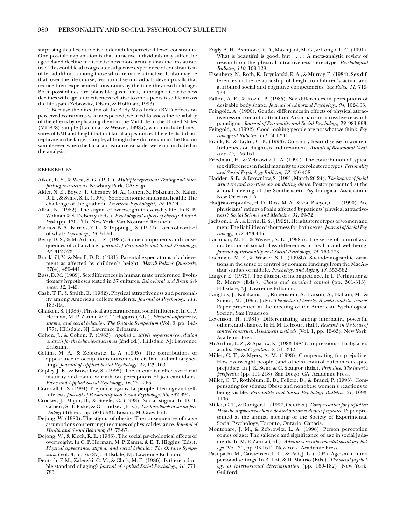surprising that less attractive older adults perceived fewer constraints. One possible explanation is that attractive individuals may suffer the age-related decline in attractiveness more acutely than the less attractive. This could lead to a greater subjective experience of constraints in older adulthood among those who are more attractive. It also may be that, over the life course, less attractive individuals develop skills that reduce their experienced constraints by the time they reach old age. Both possibilities are plausible given that, although attractiveness declines with age, attractiveness relative to one's peers is stable across the life span (Zebrowitz, Olson, & Hoffman, 1993).

4. Because the direction of the Body Mass Index (BMI) effects on perceived constraints was unexpected, we tried to assess the reliability of the effects by replicating them in the Mid-Life in the United States (MIDUS) sample (Lachman & Weaver, 1998a), which included measures of BMI and height but not facial appearance. The effects did not replicate in the larger sample, although they did remain in the Boston sample even when the facial appearance variables were not included in the analysis.

#### REFERENCES

- Aiken, L. S., & West, S. G. (1991). *Multiple regression: Testing and interpreting interactions*. Newbury Park, CA: Sage.
- Alder, N. E., Boyce, T., Chesney, M. A., Cohen, S., Folkman, S., Kahn, R. L., & Syme, S. L. (1994). Socioeconomic status and health: The challenge of the gradient. *American Psychologist*, *49*, 15-24.
- Allon, N. (1982). The stigma of overweight in everyday life. In B. B. Wolman & S. DeBerry (Eds.), *Psychological aspects of obesity: A handbook* (pp. 130-174). New York: Van Nostrand Reinhold.
- Barrios, B. A., Barrios, Z. G., & Topping, J. S. (1977). Locus of control of what? *Psychology*, *14*, 51-54.
- Berry, D. S., & McArthur, L. Z. (1985). Some components and consequences of a babyface. *Journal of Personality and Social Psychology*, *48*, 312-323.
- Brackbill, Y., & Nevill, D. D. (1981). Parental expectations of achievement as affected by children's height. *Merrill-Palmer Quarterly*, *27*(4), 429-441.
- Buss, D. M. (1989). Sex differences in human mate preference: Evolutionary hypotheses tested in 37 cultures. *Behavioral and Brain Sciences*, *12*, 1-49.
- Cash, T. F., & Smith, E. (1982). Physical attractiveness and personality among American college students. *Journal of Psychology*, *111*, 183-191.
- Chaiken, S. (1986). Physical appearance and social influence. In C. P. Herman, M. P. Zanna, & E. T. Higgins (Eds.), *Physical appearance, stigma, and social behavior: The Ontario Symposium* (Vol. 3, pp. 143- 177). Hillsdale, NJ: Lawrence Erlbaum.
- Cohen, J., & Cohen, P. (1983). *Applied multiple regression/correlation analysis for the behavioral sciences* (2nd ed.). Hillsdale, NJ: Lawrence Erlbaum.
- Collins, M. A., & Zebrowitz, L. A. (1995). The contributions of appearance to occupations outcomes in civilian and military settings. *Journal of Applied Social Psychology*, *25*, 129-163.
- Copley, J. E., & Brownlow, S. (1995). The interactive effects of facial maturity and name warmth on perceptions of job candidates. *Basic and Applied Social Psychology*, *16*, 251-265.
- Crandall, C. S. (1994). Prejudice against fat people: Ideology and selfinterest. *Journal of Personality and Social Psychology*, *66*, 882-894.
- Crocker, J., Major, B., & Steele, C. (1998). Social stigma. In D. T. Gilbert, S. T. Fiske, & G. Lindzey (Eds.), *The handbook of social psychology* (4th ed., pp. 504-553). Boston: McGraw-Hill.
- Dejong, W. (1980). The stigma of obesity: The consequences of naive assumptions concerning the causes of physical deviance. *Journal of Health and Social Behavior*, *81*, 75-87.
- Dejong, W., & Kleck, R. E. (1986). The social psychological effects of overweight. In C. P. Herman, M. P. Zanna, & E. T. Higgins (Eds.), *Physical appearance, stigma, and social behavior: The Ontario Symposium* (Vol. 3, pp. 65-87). Hillsdale, NJ: Lawrence Erlbaum.
- Deutsch, F. M., Zalenski, C. M., & Clark, M. E. (1986). Is there a double standard of aging? *Journal of Applied Social Psychology*, *16*, 771- 785.
- Eagly, A. H., Ashmore, R. D., Makhijani, M. G., & Longo, L. C. (1991). What is beautiful is good, but...:A meta-analytic review of research on the physical attractiveness stereotype. *Psychological Bulletin*, *110*, 109-128.
- Eisenberg, N., Roth, K., Bryniarski, K. A., & Murray, E. (1984). Sex differences in the relationship of height to children's actual and attributed social and cognitive competencies. *Sex Roles*, *11*, 719- 734.
- Fallon, A. E., & Rozin, P. (1985). Sex differences in perceptions of desirable body shape. *Journal of Abnormal Psychology*, *94*, 102-105.
- Feingold, A. (1990). Gender differences in effects of physical attractiveness on romantic attraction: A comparison across five research paradigms. *Journal of Personality and Social Psychology*, *39*, 981-993.
- Feingold, A. (1992). Good-looking people are not what we think. *Psychological Bulletin*, *111*, 304-341.
- Frank, E., & Taylor, C. B. (1993). Coronary heart disease in women: Influences on diagnosis and treatment. *Annals of Behavioral Medicine*, *15*, 156-161.
- Friedman, H., & Zebrowitz, L. A. (1992). The contribution of typical sex differences in facial maturity to sex role stereotypes. *Personality and Social Psychology Bulletin*, *18*, 430-438.
- Hadden, S. B., & Brownlow, S. (1991, March 20-24). *The impact of facial structure and assertiveness on dating choice*. Poster presented at the annual meeting of the Southeastern Psychological Association, New Orleans, LA.
- Hadjistavropoulos, H. D., Ross, M. A., & von Baeyer, C. L. (1990). Are physicians' ratings of pain affected by patients' physical attractiveness? *Social Science and Medicine*, *31*, 69-72.
- Jackson, L. A., & Ervin, K. S. (1992). Height stereotypes of women and men: The liabilities of shortness for both sexes. *Journal of Social Psychology*, *132*, 433-445.
- Lachman, M. E., & Weaver, S. L. (1998a). The sense of control as a moderator of social class differences in health and well-being. *Journal of Personality and Social Psychology*, *74*, 763-773.
- Lachman, M. E., & Weaver, S. L. (1998b). Sociodemographic variations in the sense of control by domain: Findings from the MacArthur studies of midlife. *Psychology and Aging*, *13*, 553-562.
- Langer, E. (1979). The illusion of incompetence. In L. Perlmutter & R. Monty (Eds.), *Choice and perceived control* (pp. 301-313). Hillsdale, NJ: Lawrence Erlbaum.
- Langlois, J., Kalakanis, L., Rubenstein, A., Larson, A., Hallam, M., & Smoot, M. (1996, July). *The myths of beauty: A meta-analytic review*. Paper presented at the meeting of the American Psychological Society, San Francisco.
- Levenson, H. (1981). Differentiating among internality, powerful others, and chance. In H. M. Lefcourt (Ed.), *Research in the locus of control construct: Assessment methods* (Vol. 1, pp. 15-63). New York: Academic Press.
- McArthur, L. Z., & Apatow, K. (1983-1984). Impressions of babyfaced adults. *Social Cognition*, *2*, 315-342.
- Miller, C. T., & Myers, A. M. (1998). Compensating for prejudice: How overweight people (and others) control outcomes despite prejudice. In J. K. Swim & C. Stangor (Eds.), *Prejudice: The target's perspective* (pp. 191-218). San Diego, CA: Academic Press.
- Miller, C. T., Rothblum, E. D., Felicio, D., & Brand, P. (1995). Compensating for stigma: Obese and nonobese women's reactions to being visible. *Personality and Social Psychology Bulletin*, *21*, 1093- 1106.
- Miller, C. T., & Rudiger, L. (1997, October). *Compensation for prejudice: How the stigmatized obtain desired outcomes despite prejudice*. Paper presented at the annual meeting of the Society of Experimental Social Psychology, Toronto, Ontario, Canada.
- Montepare, J. M., & Zebrowitz, L. A. (1998). Person perception comes of age: The salience and significance of age in social judgments. In M. P. Zanna (Ed.), *Advances in experimental social psychology* (Vol. 30, pp. 93-161). New York: Academic Press.
- Pasupathi, M., Carstensen, L. L., & Tsai, J. L. (1995). Ageism in interpersonal settings. In B. Lott & D. Maluso (Eds.), *The social psychology of interpersonal discrimination* (pp. 160-182). New York: Guilford.